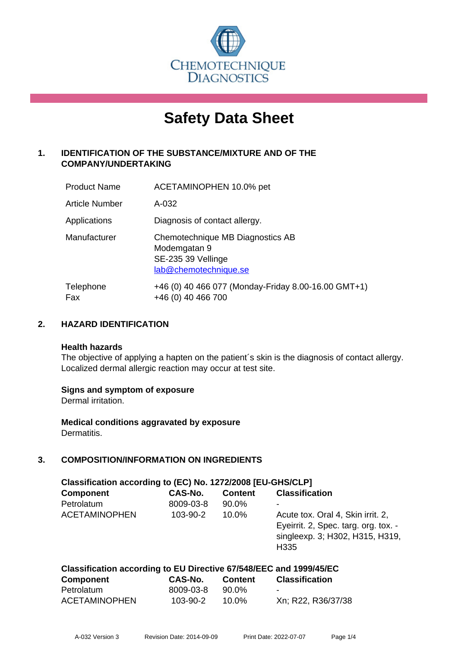

# **Safety Data Sheet**

# **1. IDENTIFICATION OF THE SUBSTANCE/MIXTURE AND OF THE COMPANY/UNDERTAKING**

| <b>Product Name</b> | ACETAMINOPHEN 10.0% pet                                                                         |
|---------------------|-------------------------------------------------------------------------------------------------|
| Article Number      | A-032                                                                                           |
| Applications        | Diagnosis of contact allergy.                                                                   |
| Manufacturer        | Chemotechnique MB Diagnostics AB<br>Modemgatan 9<br>SE-235 39 Vellinge<br>lab@chemotechnique.se |
| Telephone<br>Fax    | +46 (0) 40 466 077 (Monday-Friday 8.00-16.00 GMT+1)<br>+46 (0) 40 466 700                       |

#### **2. HAZARD IDENTIFICATION**

#### **Health hazards**

The objective of applying a hapten on the patient's skin is the diagnosis of contact allergy. Localized dermal allergic reaction may occur at test site.

#### **Signs and symptom of exposure**

Dermal irritation.

**Medical conditions aggravated by exposure** Dermatitis.

# **3. COMPOSITION/INFORMATION ON INGREDIENTS**

| Classification according to (EC) No. 1272/2008 [EU-GHS/CLP] |           |                |                                                                                                                                  |  |  |
|-------------------------------------------------------------|-----------|----------------|----------------------------------------------------------------------------------------------------------------------------------|--|--|
| <b>Component</b>                                            | CAS-No.   | <b>Content</b> | <b>Classification</b>                                                                                                            |  |  |
| Petrolatum                                                  | 8009-03-8 | 90.0%          |                                                                                                                                  |  |  |
| <b>ACETAMINOPHEN</b>                                        | 103-90-2  | 10.0%          | Acute tox. Oral 4, Skin irrit. 2,<br>Eyeirrit. 2, Spec. targ. org. tox. -<br>singleexp. 3; H302, H315, H319,<br>H <sub>335</sub> |  |  |

| Classification according to EU Directive 67/548/EEC and 1999/45/EC |                |                |                       |  |
|--------------------------------------------------------------------|----------------|----------------|-----------------------|--|
| <b>Component</b>                                                   | CAS-No.        | <b>Content</b> | <b>Classification</b> |  |
| Petrolatum                                                         | 8009-03-8      | 90.0%          | $\sim$                |  |
| <b>ACETAMINOPHEN</b>                                               | $103 - 90 - 2$ | $10.0\%$       | Xn; R22, R36/37/38    |  |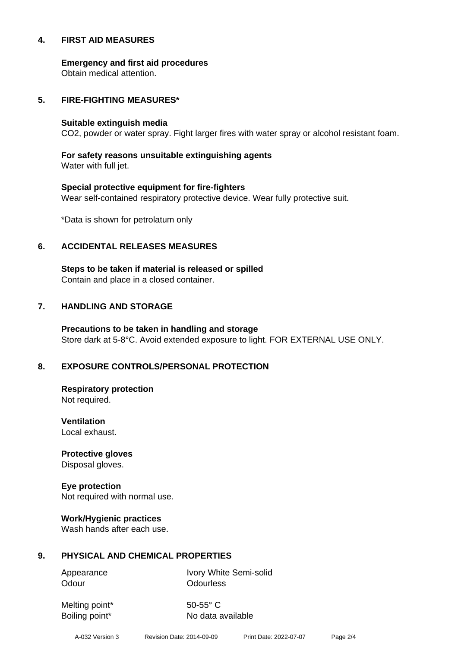#### **4. FIRST AID MEASURES**

**Emergency and first aid procedures**

Obtain medical attention.

#### **5. FIRE-FIGHTING MEASURES\***

#### **Suitable extinguish media**

CO2, powder or water spray. Fight larger fires with water spray or alcohol resistant foam.

# **For safety reasons unsuitable extinguishing agents**

Water with full jet.

# **Special protective equipment for fire-fighters** Wear self-contained respiratory protective device. Wear fully protective suit.

\*Data is shown for petrolatum only

#### **6. ACCIDENTAL RELEASES MEASURES**

**Steps to be taken if material is released or spilled** Contain and place in a closed container.

# **7. HANDLING AND STORAGE**

**Precautions to be taken in handling and storage** Store dark at 5-8°C. Avoid extended exposure to light. FOR EXTERNAL USE ONLY.

# **8. EXPOSURE CONTROLS/PERSONAL PROTECTION**

**Respiratory protection** Not required.

**Ventilation** Local exhaust.

**Protective gloves** Disposal gloves.

# **Eye protection**

Not required with normal use.

#### **Work/Hygienic practices**

Wash hands after each use.

#### **9. PHYSICAL AND CHEMICAL PROPERTIES**

Odour **Odourless** 

Appearance Ivory White Semi-solid

Melting point\* 50-55° C

Boiling point\* No data available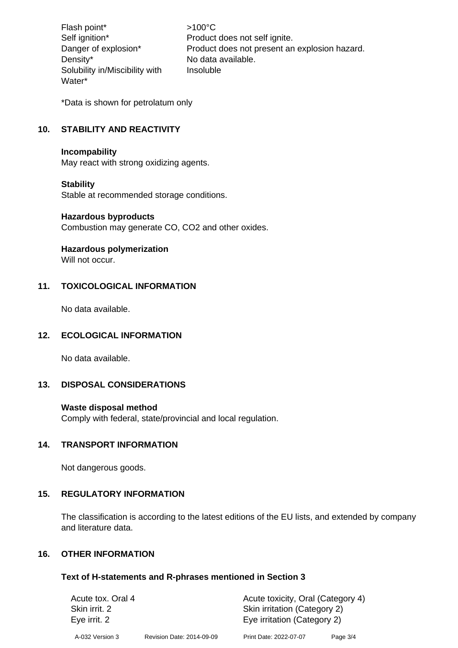Flash point\*  $>100^{\circ}$ C Density\* No data available. Solubility in/Miscibility with Water\*

Self ignition\* Product does not self ignite. Danger of explosion\* Product does not present an explosion hazard. Insoluble

\*Data is shown for petrolatum only

# **10. STABILITY AND REACTIVITY**

#### **Incompability**

May react with strong oxidizing agents.

#### **Stability**

Stable at recommended storage conditions.

#### **Hazardous byproducts**

Combustion may generate CO, CO2 and other oxides.

#### **Hazardous polymerization**

Will not occur.

#### **11. TOXICOLOGICAL INFORMATION**

No data available.

#### **12. ECOLOGICAL INFORMATION**

No data available.

#### **13. DISPOSAL CONSIDERATIONS**

#### **Waste disposal method**

Comply with federal, state/provincial and local regulation.

#### **14. TRANSPORT INFORMATION**

Not dangerous goods.

#### **15. REGULATORY INFORMATION**

The classification is according to the latest editions of the EU lists, and extended by company and literature data.

#### **16. OTHER INFORMATION**

#### **Text of H-statements and R-phrases mentioned in Section 3**

| Acute tox. Oral 4 |                           | Acute toxicity, Oral (Category 4) |          |  |
|-------------------|---------------------------|-----------------------------------|----------|--|
| Skin irrit. 2     |                           | Skin irritation (Category 2)      |          |  |
| Eye irrit. 2      |                           | Eye irritation (Category 2)       |          |  |
| A-032 Version 3   | Revision Date: 2014-09-09 | Print Date: 2022-07-07            | Page 3/4 |  |